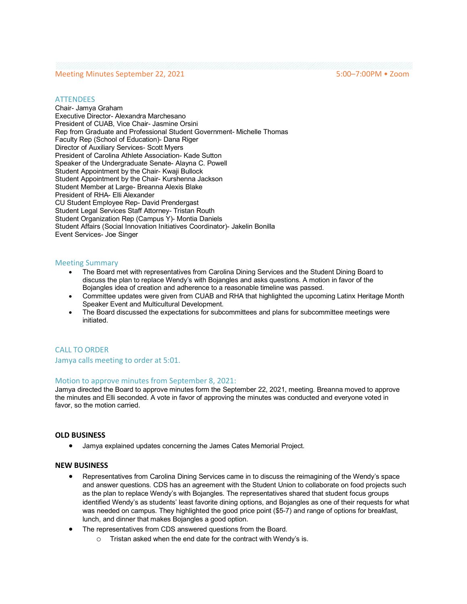# Meeting Minutes September 22, 2021 5:00–7:00PM • Zoom

### **ATTENDEES**

Chair- Jamya Graham Executive Director- Alexandra Marchesano President of CUAB, Vice Chair- Jasmine Orsini Rep from Graduate and Professional Student Government- Michelle Thomas Faculty Rep (School of Education)- Dana Riger Director of Auxiliary Services- Scott Myers President of Carolina Athlete Association- Kade Sutton Speaker of the Undergraduate Senate- Alayna C. Powell Student Appointment by the Chair- Kwaji Bullock Student Appointment by the Chair- Kurshenna Jackson Student Member at Large- Breanna Alexis Blake President of RHA- Elli Alexander CU Student Employee Rep- David Prendergast Student Legal Services Staff Attorney- Tristan Routh Student Organization Rep (Campus Y)- Montia Daniels Student Affairs (Social Innovation Initiatives Coordinator)- Jakelin Bonilla Event Services- Joe Singer

### Meeting Summary

- The Board met with representatives from Carolina Dining Services and the Student Dining Board to discuss the plan to replace Wendy's with Bojangles and asks questions. A motion in favor of the Bojangles idea of creation and adherence to a reasonable timeline was passed.
- Committee updates were given from CUAB and RHA that highlighted the upcoming Latinx Heritage Month Speaker Event and Multicultural Development.
- The Board discussed the expectations for subcommittees and plans for subcommittee meetings were initiated.

## CALL TO ORDER

### Jamya calls meeting to order at 5:01.

### Motion to approve minutes from September 8, 2021:

Jamya directed the Board to approve minutes form the September 22, 2021, meeting. Breanna moved to approve the minutes and Elli seconded. A vote in favor of approving the minutes was conducted and everyone voted in favor, so the motion carried.

#### **OLD BUSINESS**

• Jamya explained updates concerning the James Cates Memorial Project.

## **NEW BUSINESS**

- Representatives from Carolina Dining Services came in to discuss the reimagining of the Wendy's space and answer questions. CDS has an agreement with the Student Union to collaborate on food projects such as the plan to replace Wendy's with Bojangles. The representatives shared that student focus groups identified Wendy's as students' least favorite dining options, and Bojangles as one of their requests for what was needed on campus. They highlighted the good price point (\$5-7) and range of options for breakfast, lunch, and dinner that makes Bojangles a good option.
- The representatives from CDS answered questions from the Board.
	- o Tristan asked when the end date for the contract with Wendy's is.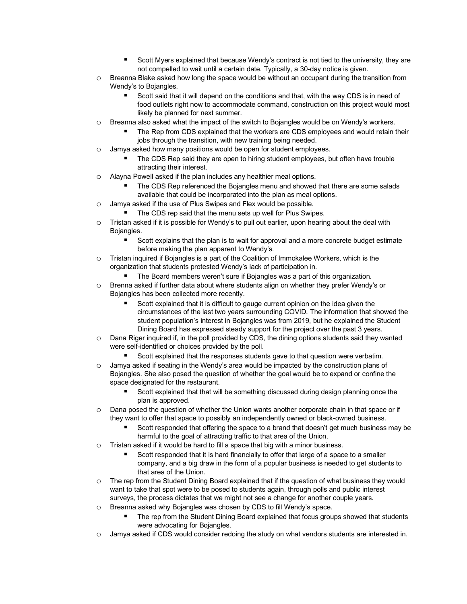- § Scott Myers explained that because Wendy's contract is not tied to the university, they are not compelled to wait until a certain date. Typically, a 30-day notice is given.
- o Breanna Blake asked how long the space would be without an occupant during the transition from Wendy's to Bojangles.
	- § Scott said that it will depend on the conditions and that, with the way CDS is in need of food outlets right now to accommodate command, construction on this project would most likely be planned for next summer.
- o Breanna also asked what the impact of the switch to Bojangles would be on Wendy's workers.
	- The Rep from CDS explained that the workers are CDS employees and would retain their jobs through the transition, with new training being needed.
- o Jamya asked how many positions would be open for student employees.
	- The CDS Rep said they are open to hiring student employees, but often have trouble attracting their interest.
- o Alayna Powell asked if the plan includes any healthier meal options.
	- The CDS Rep referenced the Bojangles menu and showed that there are some salads available that could be incorporated into the plan as meal options.
- o Jamya asked if the use of Plus Swipes and Flex would be possible.
	- The CDS rep said that the menu sets up well for Plus Swipes.
- o Tristan asked if it is possible for Wendy's to pull out earlier, upon hearing about the deal with Bojangles.
	- § Scott explains that the plan is to wait for approval and a more concrete budget estimate before making the plan apparent to Wendy's.
- $\circ$  Tristan inquired if Bojangles is a part of the Coalition of Immokalee Workers, which is the organization that students protested Wendy's lack of participation in.
	- The Board members weren't sure if Bojangles was a part of this organization.
- o Brenna asked if further data about where students align on whether they prefer Wendy's or Bojangles has been collected more recently.
	- Scott explained that it is difficult to gauge current opinion on the idea given the circumstances of the last two years surrounding COVID. The information that showed the student population's interest in Bojangles was from 2019, but he explained the Student Dining Board has expressed steady support for the project over the past 3 years.
- o Dana Riger inquired if, in the poll provided by CDS, the dining options students said they wanted were self-identified or choices provided by the poll.
	- Scott explained that the responses students gave to that question were verbatim.
- o Jamya asked if seating in the Wendy's area would be impacted by the construction plans of Bojangles. She also posed the question of whether the goal would be to expand or confine the space designated for the restaurant.
	- § Scott explained that that will be something discussed during design planning once the plan is approved.
- o Dana posed the question of whether the Union wants another corporate chain in that space or if they want to offer that space to possibly an independently owned or black-owned business.
	- Scott responded that offering the space to a brand that doesn't get much business may be harmful to the goal of attracting traffic to that area of the Union.
- $\circ$  Tristan asked if it would be hard to fill a space that big with a minor business.
	- § Scott responded that it is hard financially to offer that large of a space to a smaller company, and a big draw in the form of a popular business is needed to get students to that area of the Union.
- o The rep from the Student Dining Board explained that if the question of what business they would want to take that spot were to be posed to students again, through polls and public interest surveys, the process dictates that we might not see a change for another couple years.
- o Breanna asked why Bojangles was chosen by CDS to fill Wendy's space.
	- The rep from the Student Dining Board explained that focus groups showed that students were advocating for Bojangles.
- o Jamya asked if CDS would consider redoing the study on what vendors students are interested in.